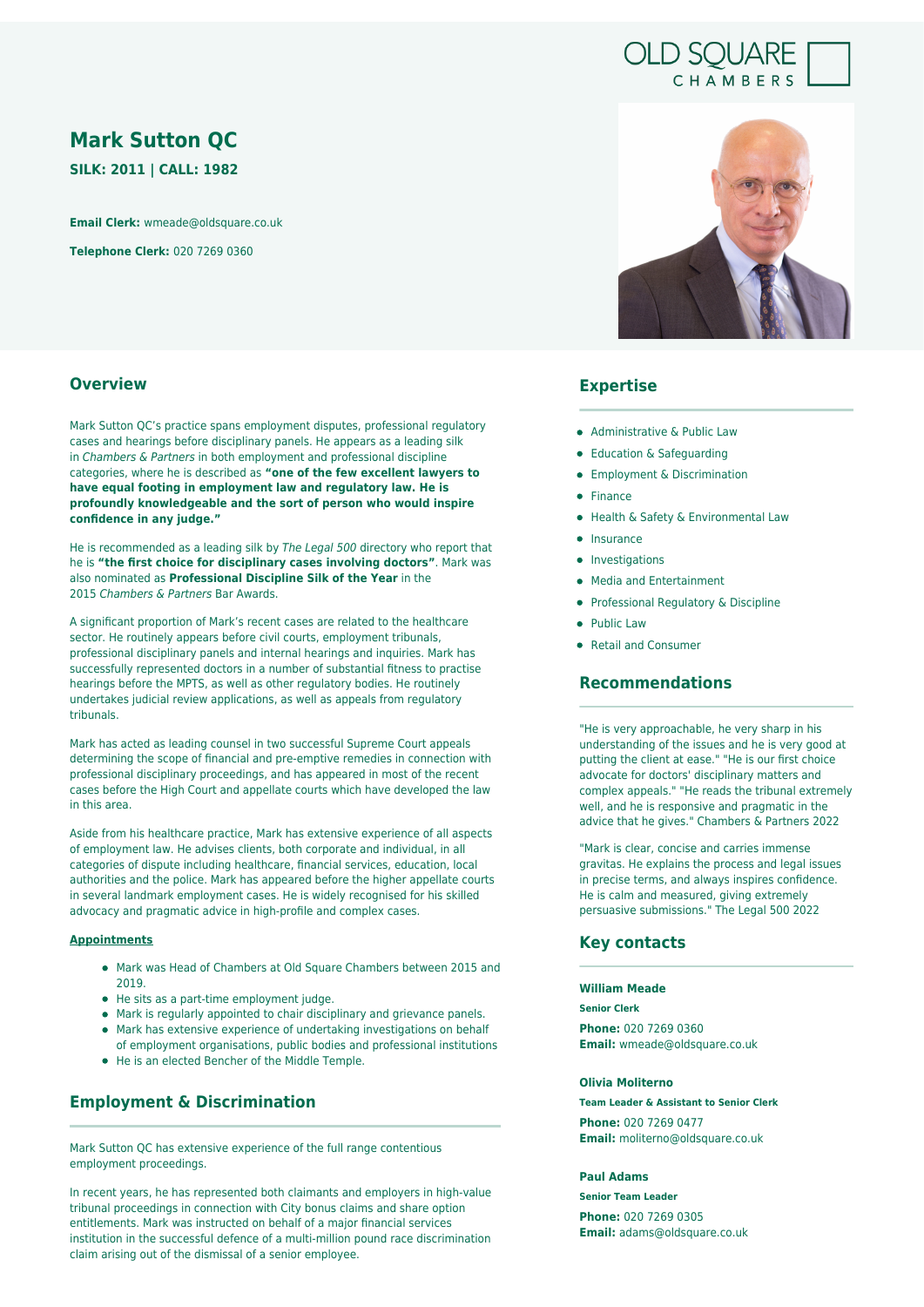# **OLD SOUARE** CHAMBERS

# **Mark Sutton QC**

**SILK: 2011 | CALL: 1982**

**Email Clerk:** wmeade@oldsquare.co.uk

**Telephone Clerk:** 020 7269 0360



### **Expertise**

- Administrative & Public Law
- Education & Safeguarding
- **•** Employment & Discrimination
- Finance
- Health & Safety & Environmental Law
- $\bullet$  Insurance
- Investigations
- Media and Entertainment
- **Professional Regulatory & Discipline**
- Public Law
- Retail and Consumer

### **Recommendations**

"He is very approachable, he very sharp in his understanding of the issues and he is very good at putting the client at ease." "He is our first choice advocate for doctors' disciplinary matters and complex appeals." "He reads the tribunal extremely well, and he is responsive and pragmatic in the advice that he gives." Chambers & Partners 2022

"Mark is clear, concise and carries immense gravitas. He explains the process and legal issues in precise terms, and always inspires confidence. He is calm and measured, giving extremely persuasive submissions." The Legal 500 2022

### **Key contacts**

#### **William Meade**

#### **Senior Clerk**

**Phone:** 020 7269 0360 **Email:** wmeade@oldsquare.co.uk

#### **Olivia Moliterno**

**Team Leader & Assistant to Senior Clerk Phone:** 020 7269 0477 **Email:** moliterno@oldsquare.co.uk

#### **Paul Adams**

**Senior Team Leader**

**Phone:** 020 7269 0305 **Email:** adams@oldsquare.co.uk

### **Overview**

Mark Sutton QC's practice spans employment disputes, professional regulatory cases and hearings before disciplinary panels. He appears as a leading silk in Chambers & Partners in both employment and professional discipline categories, where he is described as **"one of the few excellent lawyers to have equal footing in employment law and regulatory law. He is profoundly knowledgeable and the sort of person who would inspire confidence in any judge."**

He is recommended as a leading silk by The Legal 500 directory who report that he is **"the first choice for disciplinary cases involving doctors"**. Mark was also nominated as **Professional Discipline Silk of the Year** in the 2015 Chambers & Partners Bar Awards.

A significant proportion of Mark's recent cases are related to the healthcare sector. He routinely appears before civil courts, employment tribunals, professional disciplinary panels and internal hearings and inquiries. Mark has successfully represented doctors in a number of substantial fitness to practise hearings before the MPTS, as well as other regulatory bodies. He routinely undertakes judicial review applications, as well as appeals from regulatory tribunals.

Mark has acted as leading counsel in two successful Supreme Court appeals determining the scope of financial and pre-emptive remedies in connection with professional disciplinary proceedings, and has appeared in most of the recent cases before the High Court and appellate courts which have developed the law in this area.

Aside from his healthcare practice, Mark has extensive experience of all aspects of employment law. He advises clients, both corporate and individual, in all categories of dispute including healthcare, financial services, education, local authorities and the police. Mark has appeared before the higher appellate courts in several landmark employment cases. He is widely recognised for his skilled advocacy and pragmatic advice in high-profile and complex cases.

#### **Appointments**

- Mark was Head of Chambers at Old Square Chambers between 2015 and 2019.
- He sits as a part-time employment judge.
- Mark is regularly appointed to chair disciplinary and grievance panels.
- Mark has extensive experience of undertaking investigations on behalf of employment organisations, public bodies and professional institutions
- He is an elected Bencher of the Middle Temple.

### **Employment & Discrimination**

Mark Sutton QC has extensive experience of the full range contentious employment proceedings.

In recent years, he has represented both claimants and employers in high-value tribunal proceedings in connection with City bonus claims and share option entitlements. Mark was instructed on behalf of a major financial services institution in the successful defence of a multi-million pound race discrimination claim arising out of the dismissal of a senior employee.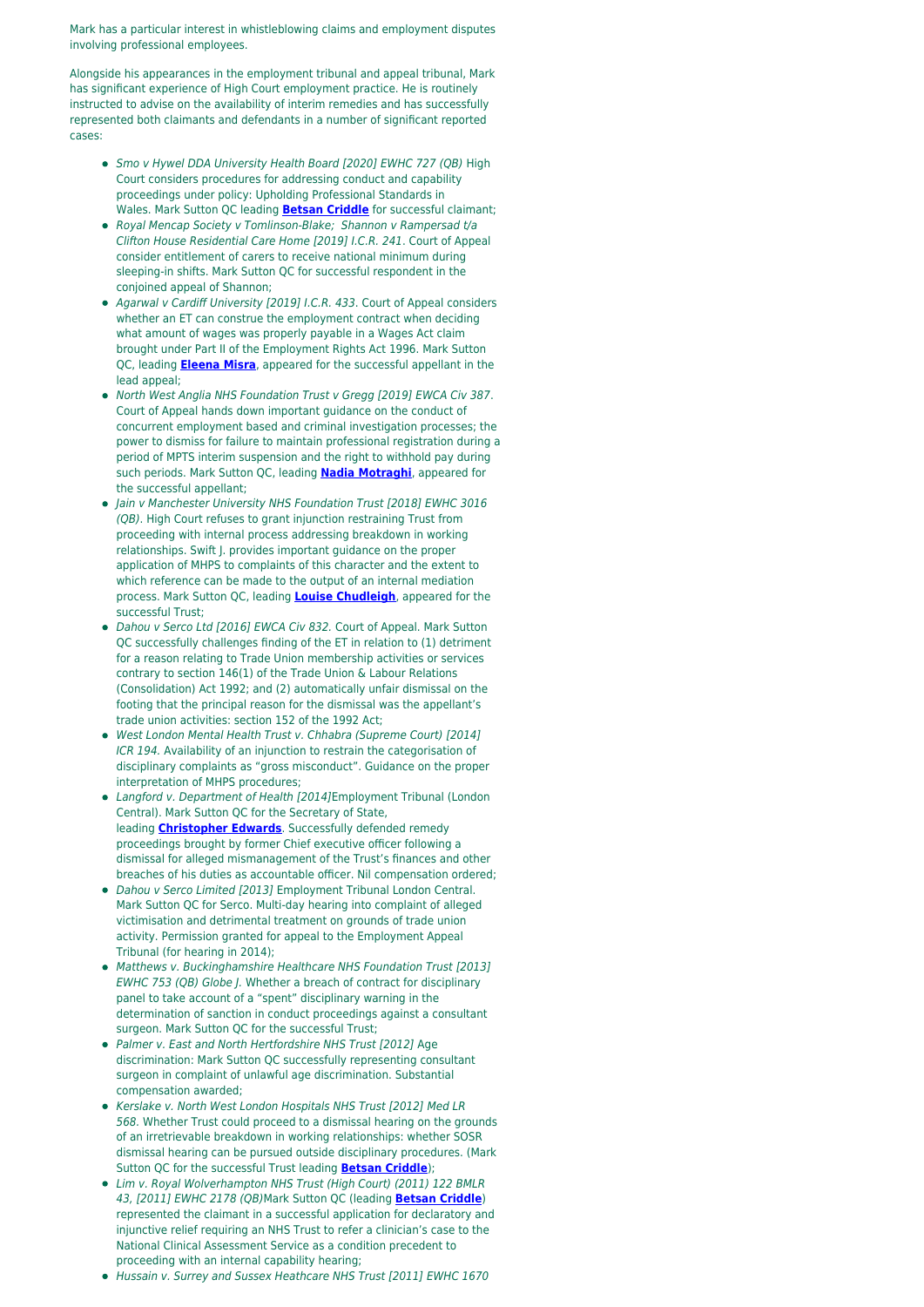Mark has a particular interest in whistleblowing claims and employment disputes involving professional employees.

Alongside his appearances in the employment tribunal and appeal tribunal, Mark has significant experience of High Court employment practice. He is routinely instructed to advise on the availability of interim remedies and has successfully represented both claimants and defendants in a number of significant reported cases:

- Smo v Hywel DDA University Health Board [2020] EWHC 727 (QB) High Court considers procedures for addressing conduct and capability proceedings under policy: Upholding Professional Standards in Wales. Mark Sutton QC leading **[Betsan Criddle](https://oldsquare.co.uk/people/betsan-criddle/)** for successful claimant;
- Royal Mencap Society v Tomlinson-Blake; Shannon v Rampersad t/a Clifton House Residential Care Home [2019] I.C.R. 241. Court of Appeal consider entitlement of carers to receive national minimum during sleeping-in shifts. Mark Sutton QC for successful respondent in the conjoined appeal of Shannon;
- Agarwal v Cardiff University [2019] I.C.R. 433. Court of Appeal considers whether an ET can construe the employment contract when deciding what amount of wages was properly payable in a Wages Act claim brought under Part II of the Employment Rights Act 1996. Mark Sutton QC, leading **[Eleena Misra](https://oldsquare.co.uk/people/eleena-misra/)**, appeared for the successful appellant in the lead appeal;
- North West Anglia NHS Foundation Trust v Gregg [2019] EWCA Civ 387. Court of Appeal hands down important guidance on the conduct of concurrent employment based and criminal investigation processes; the power to dismiss for failure to maintain professional registration during a period of MPTS interim suspension and the right to withhold pay during such periods. Mark Sutton QC, leading **[Nadia Motraghi](https://oldsquare.co.uk/people/nadia-motraghi/)**, appeared for the successful appellant;
- Iain v Manchester University NHS Foundation Trust [2018] EWHC 3016 (QB). High Court refuses to grant injunction restraining Trust from proceeding with internal process addressing breakdown in working relationships. Swift J. provides important guidance on the proper application of MHPS to complaints of this character and the extent to which reference can be made to the output of an internal mediation process. Mark Sutton QC, leading **[Louise Chudleigh](https://oldsquare.co.uk/people/louise-chudleigh/)**, appeared for the successful Trust;
- Dahou v Serco Ltd [2016] EWCA Civ 832. Court of Appeal. Mark Sutton QC successfully challenges finding of the ET in relation to (1) detriment for a reason relating to Trade Union membership activities or services contrary to section 146(1) of the Trade Union & Labour Relations (Consolidation) Act 1992; and (2) automatically unfair dismissal on the footing that the principal reason for the dismissal was the appellant's trade union activities: section 152 of the 1992 Act;
- West London Mental Health Trust v. Chhabra (Supreme Court) [2014] ICR 194. Availability of an injunction to restrain the categorisation of disciplinary complaints as "gross misconduct". Guidance on the proper interpretation of MHPS procedures;
- Langford v. Department of Health [2014]Employment Tribunal (London Central). Mark Sutton QC for the Secretary of State, leading **[Christopher Edwards](https://oldsquare.co.uk/people/christopher-edwards/)**. Successfully defended remedy proceedings brought by former Chief executive officer following a dismissal for alleged mismanagement of the Trust's finances and other breaches of his duties as accountable officer. Nil compensation ordered;
- Dahou v Serco Limited [2013] Employment Tribunal London Central. Mark Sutton QC for Serco. Multi-day hearing into complaint of alleged victimisation and detrimental treatment on grounds of trade union activity. Permission granted for appeal to the Employment Appeal Tribunal (for hearing in 2014);
- Matthews v. Buckinghamshire Healthcare NHS Foundation Trust [2013] EWHC 753 (QB) Globe J. Whether a breach of contract for disciplinary panel to take account of a "spent" disciplinary warning in the determination of sanction in conduct proceedings against a consultant surgeon. Mark Sutton QC for the successful Trust;
- Palmer v. East and North Hertfordshire NHS Trust [2012] Age discrimination: Mark Sutton QC successfully representing consultant surgeon in complaint of unlawful age discrimination. Substantial compensation awarded;
- Kerslake v. North West London Hospitals NHS Trust [2012] Med LR 568. Whether Trust could proceed to a dismissal hearing on the grounds of an irretrievable breakdown in working relationships: whether SOSR dismissal hearing can be pursued outside disciplinary procedures. (Mark Sutton QC for the successful Trust leading **[Betsan Criddle](https://oldsquare.co.uk/people/betsan-criddle/)**);
- Lim v. Royal Wolverhampton NHS Trust (High Court) (2011) 122 BMLR 43, [2011] EWHC 2178 (QB)Mark Sutton QC (leading **[Betsan Criddle](https://oldsquare.co.uk/people/betsan-criddle/)**) represented the claimant in a successful application for declaratory and injunctive relief requiring an NHS Trust to refer a clinician's case to the National Clinical Assessment Service as a condition precedent to proceeding with an internal capability hearing;
- Hussain v. Surrey and Sussex Heathcare NHS Trust [2011] EWHC 1670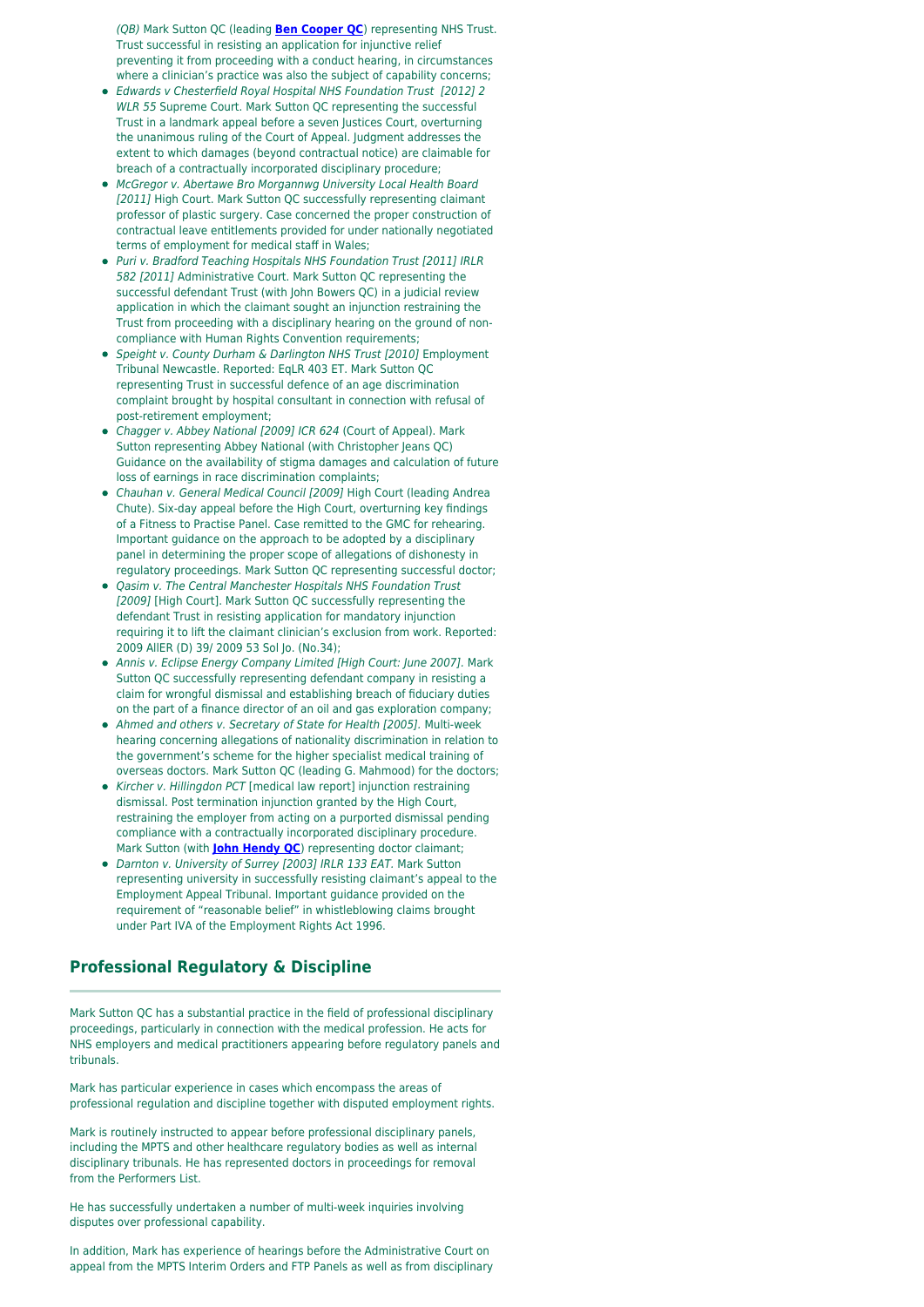(QB) Mark Sutton QC (leading **[Ben Cooper QC](https://oldsquare.co.uk/people/ben-cooper-qc/)**) representing NHS Trust. Trust successful in resisting an application for injunctive relief preventing it from proceeding with a conduct hearing, in circumstances where a clinician's practice was also the subject of capability concerns;

- Edwards v Chesterfield Royal Hospital NHS Foundation Trust [2012] 2 WLR 55 Supreme Court. Mark Sutton QC representing the successful Trust in a landmark appeal before a seven Justices Court, overturning the unanimous ruling of the Court of Appeal. Judgment addresses the extent to which damages (beyond contractual notice) are claimable for breach of a contractually incorporated disciplinary procedure;
- McGregor v. Abertawe Bro Morgannwg University Local Health Board [2011] High Court. Mark Sutton QC successfully representing claimant professor of plastic surgery. Case concerned the proper construction of contractual leave entitlements provided for under nationally negotiated terms of employment for medical staff in Wales;
- Puri v. Bradford Teaching Hospitals NHS Foundation Trust [2011] IRLR 582 [2011] Administrative Court. Mark Sutton QC representing the successful defendant Trust (with John Bowers QC) in a judicial review application in which the claimant sought an injunction restraining the Trust from proceeding with a disciplinary hearing on the ground of noncompliance with Human Rights Convention requirements;
- Speight v. County Durham & Darlington NHS Trust [2010] Employment Tribunal Newcastle. Reported: EqLR 403 ET. Mark Sutton QC representing Trust in successful defence of an age discrimination complaint brought by hospital consultant in connection with refusal of post-retirement employment;
- Chagger v. Abbey National [2009] ICR 624 (Court of Appeal). Mark Sutton representing Abbey National (with Christopher Jeans QC) Guidance on the availability of stigma damages and calculation of future loss of earnings in race discrimination complaints;
- Chauhan v. General Medical Council [2009] High Court (leading Andrea Chute). Six-day appeal before the High Court, overturning key findings of a Fitness to Practise Panel. Case remitted to the GMC for rehearing. Important guidance on the approach to be adopted by a disciplinary panel in determining the proper scope of allegations of dishonesty in regulatory proceedings. Mark Sutton QC representing successful doctor;
- Qasim v. The Central Manchester Hospitals NHS Foundation Trust [2009] [High Court]. Mark Sutton QC successfully representing the defendant Trust in resisting application for mandatory injunction requiring it to lift the claimant clinician's exclusion from work. Reported: 2009 AllER (D) 39/ 2009 53 Sol Jo. (No.34);
- Annis v. Eclipse Energy Company Limited [High Court: June 2007]. Mark Sutton QC successfully representing defendant company in resisting a claim for wrongful dismissal and establishing breach of fiduciary duties on the part of a finance director of an oil and gas exploration company;
- Ahmed and others v. Secretary of State for Health [2005]. Multi-week hearing concerning allegations of nationality discrimination in relation to the government's scheme for the higher specialist medical training of overseas doctors. Mark Sutton QC (leading G. Mahmood) for the doctors;
- Kircher v. Hillingdon PCT [medical law report] injunction restraining dismissal. Post termination injunction granted by the High Court, restraining the employer from acting on a purported dismissal pending compliance with a contractually incorporated disciplinary procedure. Mark Sutton (with **[John Hendy QC](https://oldsquare.co.uk/people/lord-hendy-qc/)**) representing doctor claimant;
- Darnton v. University of Surrey [2003] IRLR 133 EAT. Mark Sutton representing university in successfully resisting claimant's appeal to the Employment Appeal Tribunal. Important guidance provided on the requirement of "reasonable belief" in whistleblowing claims brought under Part IVA of the Employment Rights Act 1996.

## **Professional Regulatory & Discipline**

Mark Sutton QC has a substantial practice in the field of professional disciplinary proceedings, particularly in connection with the medical profession. He acts for NHS employers and medical practitioners appearing before regulatory panels and tribunals.

Mark has particular experience in cases which encompass the areas of professional regulation and discipline together with disputed employment rights.

Mark is routinely instructed to appear before professional disciplinary panels, including the MPTS and other healthcare regulatory bodies as well as internal disciplinary tribunals. He has represented doctors in proceedings for removal from the Performers List.

He has successfully undertaken a number of multi-week inquiries involving disputes over professional capability.

In addition, Mark has experience of hearings before the Administrative Court on appeal from the MPTS Interim Orders and FTP Panels as well as from disciplinary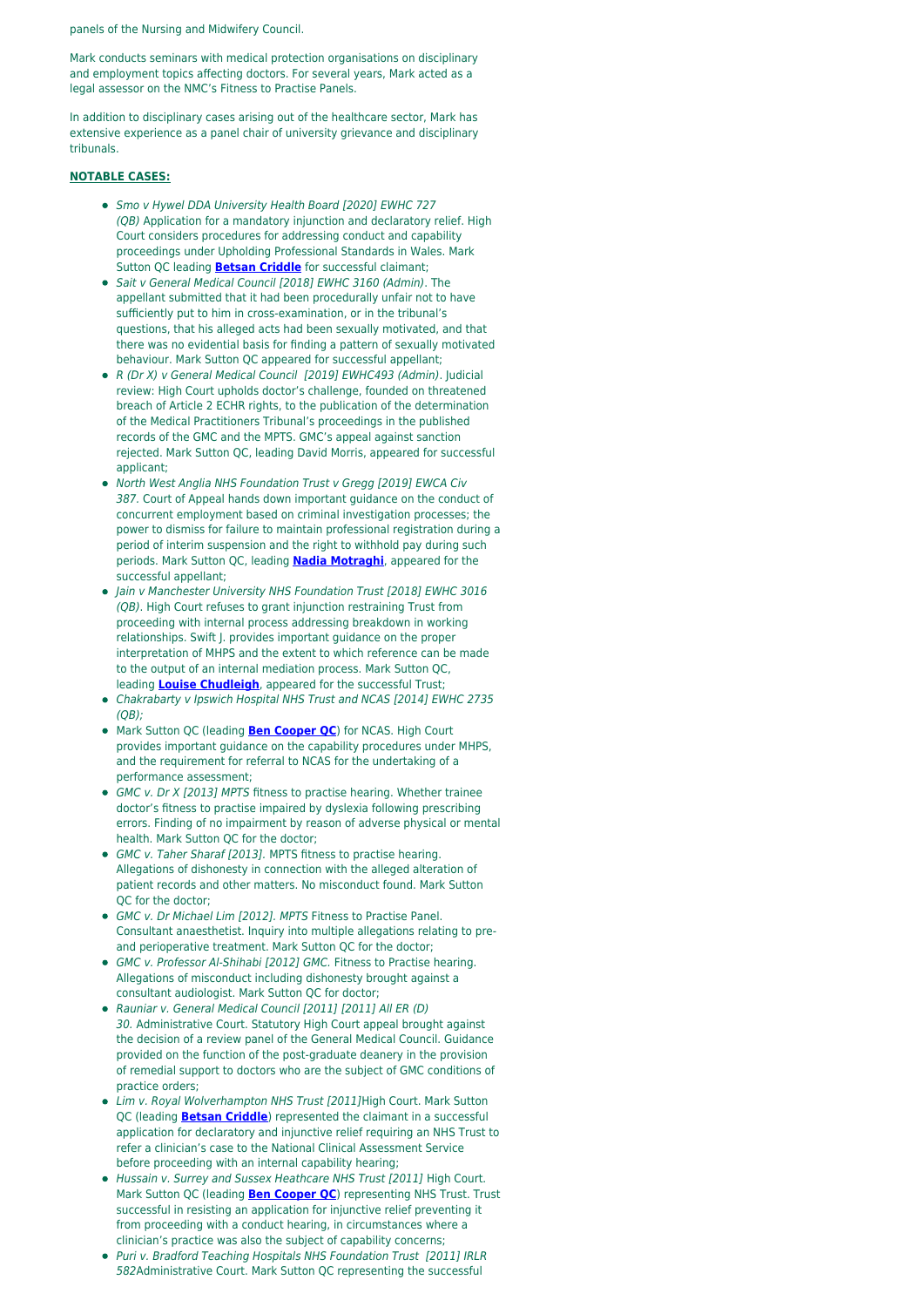panels of the Nursing and Midwifery Council.

Mark conducts seminars with medical protection organisations on disciplinary and employment topics affecting doctors. For several years, Mark acted as a legal assessor on the NMC's Fitness to Practise Panels.

In addition to disciplinary cases arising out of the healthcare sector, Mark has extensive experience as a panel chair of university grievance and disciplinary tribunals.

### **NOTABLE CASES:**

- Smo v Hywel DDA University Health Board [2020] EWHC 727 (QB) Application for a mandatory injunction and declaratory relief. High Court considers procedures for addressing conduct and capability proceedings under Upholding Professional Standards in Wales. Mark Sutton QC leading **[Betsan Criddle](https://oldsquare.co.uk/people/betsan-criddle/)** for successful claimant;
- Sait v General Medical Council [2018] EWHC 3160 (Admin). The appellant submitted that it had been procedurally unfair not to have sufficiently put to him in cross-examination, or in the tribunal's questions, that his alleged acts had been sexually motivated, and that there was no evidential basis for finding a pattern of sexually motivated behaviour. Mark Sutton QC appeared for successful appellant;
- R (Dr X) v General Medical Council [2019] EWHC493 (Admin). Judicial review: High Court upholds doctor's challenge, founded on threatened breach of Article 2 ECHR rights, to the publication of the determination of the Medical Practitioners Tribunal's proceedings in the published records of the GMC and the MPTS. GMC's appeal against sanction rejected. Mark Sutton QC, leading David Morris, appeared for successful applicant;
- North West Anglia NHS Foundation Trust v Gregg [2019] EWCA Civ 387. Court of Appeal hands down important guidance on the conduct of concurrent employment based on criminal investigation processes; the power to dismiss for failure to maintain professional registration during a period of interim suspension and the right to withhold pay during such periods. Mark Sutton QC, leading **[Nadia Motraghi](https://oldsquare.co.uk/people/nadia-motraghi/)**, appeared for the successful appellant;
- Jain v Manchester University NHS Foundation Trust [2018] EWHC 3016 (QB). High Court refuses to grant injunction restraining Trust from proceeding with internal process addressing breakdown in working relationships. Swift J. provides important guidance on the proper interpretation of MHPS and the extent to which reference can be made to the output of an internal mediation process. Mark Sutton QC, leading **[Louise Chudleigh](https://oldsquare.co.uk/people/louise-chudleigh/)**, appeared for the successful Trust;
- Chakrabarty v Ipswich Hospital NHS Trust and NCAS [2014] EWHC 2735 (QB);
- Mark Sutton QC (leading **[Ben Cooper QC](https://oldsquare.co.uk/people/ben-cooper-qc/)**) for NCAS. High Court provides important guidance on the capability procedures under MHPS, and the requirement for referral to NCAS for the undertaking of a performance assessment;
- GMC v. Dr X [2013] MPTS fitness to practise hearing. Whether trainee doctor's fitness to practise impaired by dyslexia following prescribing errors. Finding of no impairment by reason of adverse physical or mental health. Mark Sutton QC for the doctor;
- GMC v. Taher Sharaf [2013]. MPTS fitness to practise hearing. Allegations of dishonesty in connection with the alleged alteration of patient records and other matters. No misconduct found. Mark Sutton QC for the doctor;
- GMC v. Dr Michael Lim [2012]. MPTS Fitness to Practise Panel. Consultant anaesthetist. Inquiry into multiple allegations relating to preand perioperative treatment. Mark Sutton QC for the doctor;
- GMC v. Professor Al-Shihabi [2012] GMC. Fitness to Practise hearing. Allegations of misconduct including dishonesty brought against a consultant audiologist. Mark Sutton QC for doctor;
- Rauniar v. General Medical Council [2011] [2011] All ER (D) 30. Administrative Court. Statutory High Court appeal brought against the decision of a review panel of the General Medical Council. Guidance provided on the function of the post-graduate deanery in the provision of remedial support to doctors who are the subject of GMC conditions of practice orders;
- Lim v. Royal Wolverhampton NHS Trust [2011]High Court. Mark Sutton QC (leading **[Betsan Criddle](https://oldsquare.co.uk/people/betsan-criddle/)**) represented the claimant in a successful application for declaratory and injunctive relief requiring an NHS Trust to refer a clinician's case to the National Clinical Assessment Service before proceeding with an internal capability hearing;
- Hussain v. Surrey and Sussex Heathcare NHS Trust [2011] High Court. Mark Sutton QC (leading **[Ben Cooper QC](https://oldsquare.co.uk/people/ben-cooper-qc/)**) representing NHS Trust. Trust successful in resisting an application for injunctive relief preventing it from proceeding with a conduct hearing, in circumstances where a clinician's practice was also the subject of capability concerns;
- Puri v. Bradford Teaching Hospitals NHS Foundation Trust [2011] IRLR 582Administrative Court. Mark Sutton QC representing the successful